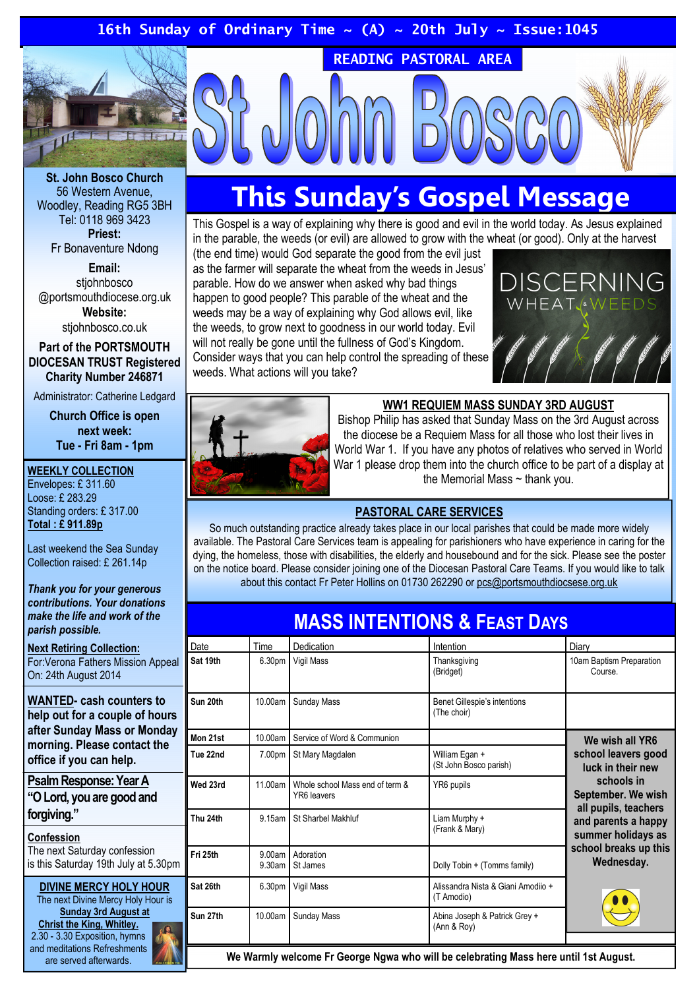### 16th Sunday of Ordinary Time  $\sim$  (A)  $\sim$  20th July  $\sim$  Issue:1045



St. John Bosco Church 56 Western Avenue, Woodley, Reading RG5 3BH Tel: 0118 969 3423 Priest: Fr Bonaventure Ndong

Email: stiohnbosco @portsmouthdiocese.org.uk Website:

stiohnbosco.co.uk

Part of the PORTSMOUTH DIOCESAN TRUST Registered Charity Number 246871

Administrator: Catherine Ledgard

Church Office is open next week: Tue - Fri 8am - 1pm

### WEEKLY COLLECTION

Envelopes: £ 311.60 Loose: £ 283.29 Standing orders: £ 317.00 Total : £ 911.89p

Last weekend the Sea Sunday Collection raised: £ 261.14p

Thank you for your generous contributions. Your donations make the life and work of the parish possible.

Next Retiring Collection: For:Verona Fathers Mission Appeal On: 24th August 2014

WANTED- cash counters to help out for a couple of hours after Sunday Mass or Monday morning. Please contact the office if you can help.

### Psalm Response: Year A "O Lord, you are good and forgiving."

### Confession

The next Saturday confession is this Saturday 19th July at 5.30pm

DIVINE MERCY HOLY HOUR The next Divine Mercy Holy Hour is Sunday 3rd August at Christ the King, Whitley. 2.30 - 3.30 Exposition, hymns and meditations Refreshments are served afterwards.

# This Sunday's Gospel Message

READING PASTORAL AREA

This Gospel is a way of explaining why there is good and evil in the world today. As Jesus explained in the parable, the weeds (or evil) are allowed to grow with the wheat (or good). Only at the harvest

(the end time) would God separate the good from the evil just as the farmer will separate the wheat from the weeds in Jesus' parable. How do we answer when asked why bad things happen to good people? This parable of the wheat and the weeds may be a way of explaining why God allows evil, like the weeds, to grow next to goodness in our world today. Evil will not really be gone until the fullness of God's Kingdom. Consider ways that you can help control the spreading of these weeds. What actions will you take?





### WW1 REQUIEM MASS SUNDAY 3RD AUGUST

Bishop Philip has asked that Sunday Mass on the 3rd August across the diocese be a Requiem Mass for all those who lost their lives in World War 1. If you have any photos of relatives who served in World War 1 please drop them into the church office to be part of a display at the Memorial Mass  $\sim$  thank you.

### PASTORAL CARE SERVICES

So much outstanding practice already takes place in our local parishes that could be made more widely available. The Pastoral Care Services team is appealing for parishioners who have experience in caring for the dying, the homeless, those with disabilities, the elderly and housebound and for the sick. Please see the poster on the notice board. Please consider joining one of the Diocesan Pastoral Care Teams. If you would like to talk about this contact Fr Peter Hollins on 01730 262290 or pcs@portsmouthdiocsese.org.uk

# MASS INTENTIONS & FEAST DAYS

| Date     | Time               | Dedication                                     | Intention                                        | Diary                                                                                                                                                                                                       |
|----------|--------------------|------------------------------------------------|--------------------------------------------------|-------------------------------------------------------------------------------------------------------------------------------------------------------------------------------------------------------------|
| Sat 19th | 6.30 <sub>pm</sub> | Vigil Mass                                     | Thanksgiving<br>(Bridget)                        | 10am Baptism Preparation<br>Course.                                                                                                                                                                         |
| Sun 20th | 10.00am            | Sunday Mass                                    | Benet Gillespie's intentions<br>(The choir)      |                                                                                                                                                                                                             |
| Mon 21st | 10.00am            | Service of Word & Communion                    |                                                  | We wish all YR6<br>school leavers good<br>luck in their new<br>schools in<br>September. We wish<br>all pupils, teachers<br>and parents a happy<br>summer holidays as<br>school breaks up this<br>Wednesday. |
| Tue 22nd | 7.00pm             | St Mary Magdalen                               | William Egan +<br>(St John Bosco parish)         |                                                                                                                                                                                                             |
| Wed 23rd | 11.00am            | Whole school Mass end of term &<br>YR6 leavers | YR6 pupils                                       |                                                                                                                                                                                                             |
| Thu 24th | 9.15am             | St Sharbel Makhluf                             | Liam Murphy +<br>(Frank & Mary)                  |                                                                                                                                                                                                             |
| Fri 25th | 9.00am<br>9.30am   | Adoration<br>St James                          | Dolly Tobin + (Tomms family)                     |                                                                                                                                                                                                             |
| Sat 26th | 6.30 <sub>pm</sub> | Vigil Mass                                     | Alissandra Nista & Giani Amodiio +<br>(T Amodio) |                                                                                                                                                                                                             |
| Sun 27th | 10.00am            | Sunday Mass                                    | Abina Joseph & Patrick Grey +<br>(Ann & Roy)     |                                                                                                                                                                                                             |

We Warmly welcome Fr George Ngwa who will be celebrating Mass here until 1st August.